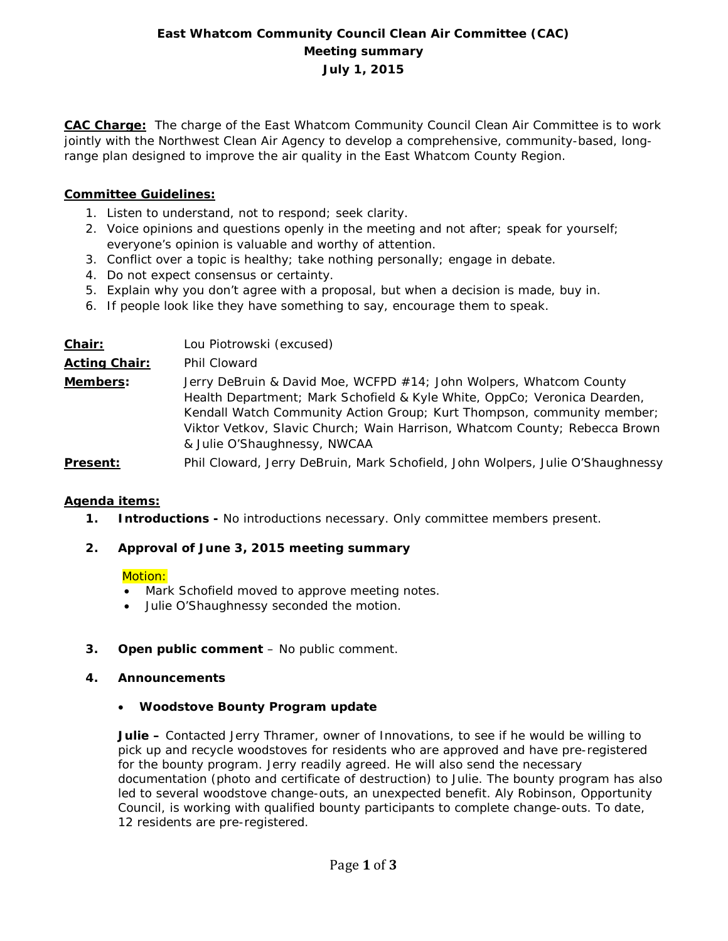# **East Whatcom Community Council Clean Air Committee (CAC) Meeting summary July 1, 2015**

**CAC Charge:** The charge of the East Whatcom Community Council Clean Air Committee is to work jointly with the Northwest Clean Air Agency to develop a comprehensive, community-based, longrange plan designed to improve the air quality in the East Whatcom County Region.

## **Committee Guidelines:**

- 1. Listen to understand, not to respond; seek clarity.
- 2. Voice opinions and questions openly in the meeting and not after; speak for yourself; everyone's opinion is valuable and worthy of attention.
- 3. Conflict over a topic is healthy; take nothing personally; engage in debate.
- 4. Do not expect consensus or certainty.
- 5. Explain why you don't agree with a proposal, but when a decision is made, buy in.
- 6. If people look like they have something to say, encourage them to speak.

| Chair:               | Lou Piotrowski (excused)                                                                                                                                                                                                                                                                                                               |
|----------------------|----------------------------------------------------------------------------------------------------------------------------------------------------------------------------------------------------------------------------------------------------------------------------------------------------------------------------------------|
| <b>Acting Chair:</b> | Phil Cloward                                                                                                                                                                                                                                                                                                                           |
| Members:             | Jerry DeBruin & David Moe, WCFPD #14; John Wolpers, Whatcom County<br>Health Department; Mark Schofield & Kyle White, OppCo; Veronica Dearden,<br>Kendall Watch Community Action Group; Kurt Thompson, community member;<br>Viktor Vetkov, Slavic Church; Wain Harrison, Whatcom County; Rebecca Brown<br>& Julie O'Shaughnessy, NWCAA |
| <b>Present:</b>      | Phil Cloward, Jerry DeBruin, Mark Schofield, John Wolpers, Julie O'Shaughnessy                                                                                                                                                                                                                                                         |

## **Agenda items:**

**1. Introductions -** No introductions necessary. Only committee members present.

## **2. Approval of June 3, 2015 meeting summary**

#### Motion:

- Mark Schofield moved to approve meeting notes.
- Julie O'Shaughnessy seconded the motion.
- **3. Open public comment**  No public comment.
- **4. Announcements** 
	- **Woodstove Bounty Program update**

**Julie –** Contacted Jerry Thramer, owner of Innovations, to see if he would be willing to pick up and recycle woodstoves for residents who are approved and have pre-registered for the bounty program. Jerry readily agreed. He will also send the necessary documentation (photo and certificate of destruction) to Julie. The bounty program has also led to several woodstove change-outs, an unexpected benefit. Aly Robinson, Opportunity Council, is working with qualified bounty participants to complete change-outs. To date, 12 residents are pre-registered.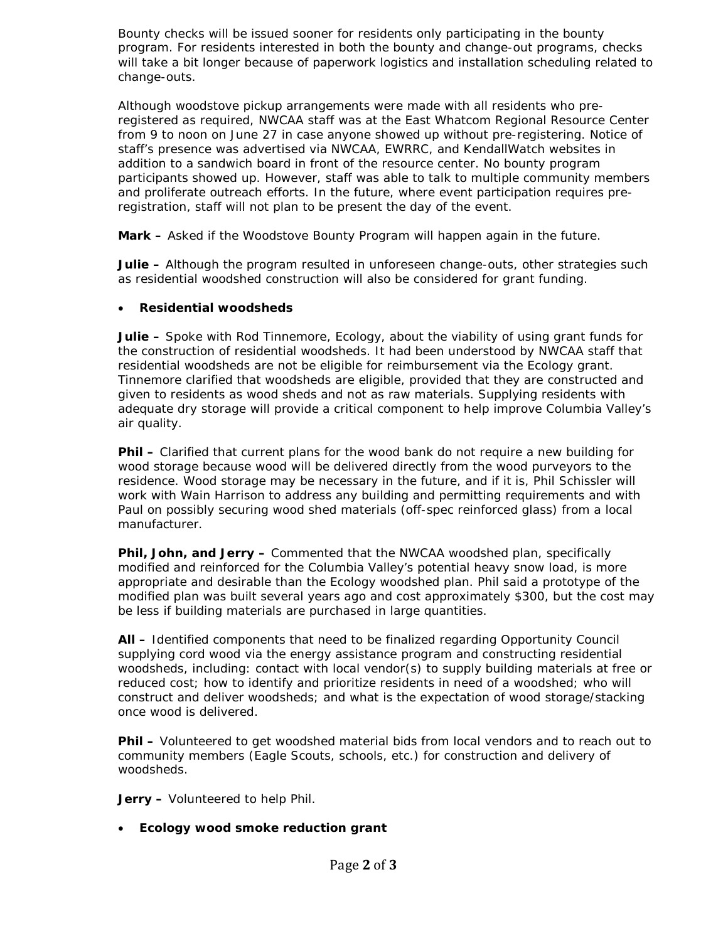Bounty checks will be issued sooner for residents only participating in the bounty program. For residents interested in both the bounty and change-out programs, checks will take a bit longer because of paperwork logistics and installation scheduling related to change-outs.

Although woodstove pickup arrangements were made with all residents who preregistered as required, NWCAA staff was at the East Whatcom Regional Resource Center from 9 to noon on June 27 in case anyone showed up without pre-registering. Notice of staff's presence was advertised via NWCAA, EWRRC, and KendallWatch websites in addition to a sandwich board in front of the resource center. No bounty program participants showed up. However, staff was able to talk to multiple community members and proliferate outreach efforts. In the future, where event participation requires preregistration, staff will not plan to be present the day of the event.

**Mark –** Asked if the Woodstove Bounty Program will happen again in the future.

**Julie –** Although the program resulted in unforeseen change-outs, other strategies such as residential woodshed construction will also be considered for grant funding.

## • **Residential woodsheds**

**Julie –** Spoke with Rod Tinnemore, Ecology, about the viability of using grant funds for the construction of residential woodsheds. It had been understood by NWCAA staff that residential woodsheds are not be eligible for reimbursement via the Ecology grant. Tinnemore clarified that woodsheds are eligible, provided that they are constructed and given to residents as wood sheds and not as raw materials. Supplying residents with adequate dry storage will provide a critical component to help improve Columbia Valley's air quality.

**Phil –** Clarified that current plans for the wood bank do not require a new building for wood storage because wood will be delivered directly from the wood purveyors to the residence. Wood storage may be necessary in the future, and if it is, Phil Schissler will work with Wain Harrison to address any building and permitting requirements and with Paul on possibly securing wood shed materials (off-spec reinforced glass) from a local manufacturer.

**Phil, John, and Jerry –** Commented that the NWCAA woodshed plan, specifically modified and reinforced for the Columbia Valley's potential heavy snow load, is more appropriate and desirable than the Ecology woodshed plan. Phil said a prototype of the modified plan was built several years ago and cost approximately \$300, but the cost may be less if building materials are purchased in large quantities.

**All –** Identified components that need to be finalized regarding Opportunity Council supplying cord wood via the energy assistance program and constructing residential woodsheds, including: contact with local vendor(s) to supply building materials at free or reduced cost; how to identify and prioritize residents in need of a woodshed; who will construct and deliver woodsheds; and what is the expectation of wood storage/stacking once wood is delivered.

**Phil –** Volunteered to get woodshed material bids from local vendors and to reach out to community members (Eagle Scouts, schools, etc.) for construction and delivery of woodsheds.

**Jerry –** Volunteered to help Phil.

• **Ecology wood smoke reduction grant**